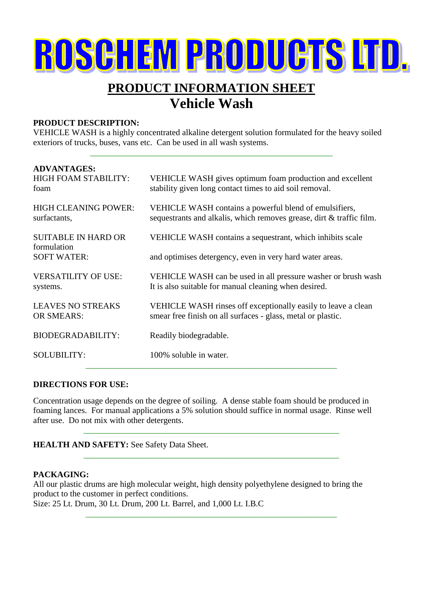# ROSCHEM PRODUCTS LTD.

### **PRODUCT INFORMATION SHEET Vehicle Wash**

#### **PRODUCT DESCRIPTION:**

VEHICLE WASH is a highly concentrated alkaline detergent solution formulated for the heavy soiled exteriors of trucks, buses, vans etc. Can be used in all wash systems.

\_\_\_\_\_\_\_\_\_\_\_\_\_\_\_\_\_\_\_\_\_\_\_\_\_\_\_\_\_\_\_\_\_\_\_\_\_\_\_\_\_\_\_\_\_\_\_\_\_\_\_\_\_\_\_\_\_

| <b>ADVANTAGES:</b><br><b>HIGH FOAM STABILITY:</b><br>foam | VEHICLE WASH gives optimum foam production and excellent<br>stability given long contact times to aid soil removal.            |
|-----------------------------------------------------------|--------------------------------------------------------------------------------------------------------------------------------|
| <b>HIGH CLEANING POWER:</b><br>surfactants,               | VEHICLE WASH contains a powerful blend of emulsifiers,<br>sequestrants and alkalis, which removes grease, dirt & traffic film. |
| <b>SUITABLE IN HARD OR</b>                                | VEHICLE WASH contains a sequestrant, which inhibits scale                                                                      |
| formulation<br><b>SOFT WATER:</b>                         | and optimises detergency, even in very hard water areas.                                                                       |
| <b>VERSATILITY OF USE:</b><br>systems.                    | VEHICLE WASH can be used in all pressure washer or brush wash<br>It is also suitable for manual cleaning when desired.         |
| <b>LEAVES NO STREAKS</b><br><b>OR SMEARS:</b>             | VEHICLE WASH rinses off exceptionally easily to leave a clean<br>smear free finish on all surfaces - glass, metal or plastic.  |
| <b>BIODEGRADABILITY:</b>                                  | Readily biodegradable.                                                                                                         |
| <b>SOLUBILITY:</b>                                        | 100% soluble in water.                                                                                                         |

#### **DIRECTIONS FOR USE:**

Concentration usage depends on the degree of soiling. A dense stable foam should be produced in foaming lances. For manual applications a 5% solution should suffice in normal usage. Rinse well after use. Do not mix with other detergents.

\_\_\_\_\_\_\_\_\_\_\_\_\_\_\_\_\_\_\_\_\_\_\_\_\_\_\_\_\_\_\_\_\_\_\_\_\_\_\_\_\_\_\_\_\_\_\_\_\_\_\_\_\_\_\_\_\_\_\_\_

\_\_\_\_\_\_\_\_\_\_\_\_\_\_\_\_\_\_\_\_\_\_\_\_\_\_\_\_\_\_\_\_\_\_\_\_\_\_\_\_\_\_\_\_\_\_\_\_\_\_\_\_\_\_\_\_\_\_\_\_

\_\_\_\_\_\_\_\_\_\_\_\_\_\_\_\_\_\_\_\_\_\_\_\_\_\_\_\_\_\_\_\_\_\_\_\_\_\_\_\_\_\_\_\_\_\_\_\_\_\_\_\_\_\_\_\_\_\_\_

#### **HEALTH AND SAFETY:** See Safety Data Sheet.

#### **PACKAGING:**

All our plastic drums are high molecular weight, high density polyethylene designed to bring the product to the customer in perfect conditions. Size: 25 Lt. Drum, 30 Lt. Drum, 200 Lt. Barrel, and 1,000 Lt. I.B.C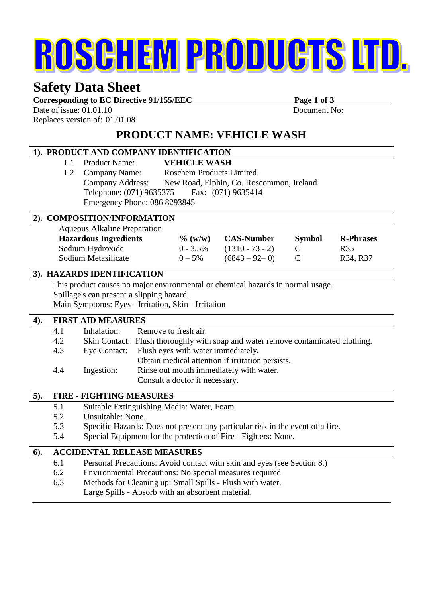# ROSCHEM PRODUCTS LTD.

## **Safety Data Sheet**

Corresponding to EC Directive 91/155/EEC Page 1 of 3

Date of issue:  $01.01.10$  Document No: Replaces version of: 01.01.08

**PRODUCT NAME: VEHICLE WASH**

#### **1). PRODUCT AND COMPANY IDENTIFICATION** 1.1 Product Name: **VEHICLE WASH** 1.2 Company Name: Roschem Products Limited. Company Address: New Road, Elphin, Co. Roscommon, Ireland. Telephone: (071) 9635375 Fax: (071) 9635414 Emergency Phone: 086 8293845 **2). COMPOSITION/INFORMATION** Aqueous Alkaline Preparation **Hazardous Ingredients % (w/w) CAS-Number Symbol R-Phrases** Sodium Hydroxide 0 - 3.5% (1310 - 73 - 2) C R35 Sodium Metasilicate  $0 - 5\%$   $(6843 - 92 - 0)$  C R34, R37 **3). HAZARDS IDENTIFICATION** This product causes no major environmental or chemical hazards in normal usage. Spillage's can present a slipping hazard. Main Symptoms: Eyes - Irritation, Skin - Irritation **4). FIRST AID MEASURES** 4.1 Inhalation: Remove to fresh air. 4.2 Skin Contact: Flush thoroughly with soap and water remove contaminated clothing. 4.3 Eye Contact: Flush eyes with water immediately. Obtain medical attention if irritation persists. 4.4 Ingestion: Rinse out mouth immediately with water. Consult a doctor if necessary.

#### **5). FIRE - FIGHTING MEASURES**

5.1 Suitable Extinguishing Media: Water, Foam. 5.2 Unsuitable: None. 5.3 Specific Hazards: Does not present any particular risk in the event of a fire. 5.4 Special Equipment for the protection of Fire - Fighters: None.

| 6). |     | <b>ACCIDENTAL RELEASE MEASURES</b>                                      |
|-----|-----|-------------------------------------------------------------------------|
|     | 6.1 | Personal Precautions: Avoid contact with skin and eyes (see Section 8.) |
|     | 6.2 | Environmental Precautions: No special measures required                 |
|     | 6.3 | Methods for Cleaning up: Small Spills - Flush with water.               |
|     |     | Large Spills - Absorb with an absorbent material.                       |
|     |     |                                                                         |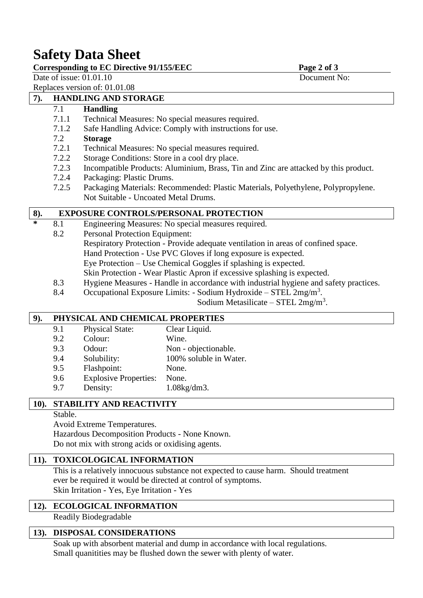## **Safety Data Sheet**

|  |  | Corresponding to EC Directive 91/155/EEC |
|--|--|------------------------------------------|
|  |  |                                          |

Page 2 of 3

Date of issue:  $01.01.10$  Document No:

Replaces version of: 01.01.08

#### **7). HANDLING AND STORAGE**

#### 7.1 **Handling**

- 7.1.1 Technical Measures: No special measures required.
- 7.1.2 Safe Handling Advice: Comply with instructions for use.

#### 7.2 **Storage**

- 7.2.1 Technical Measures: No special measures required.
- 7.2.2 Storage Conditions: Store in a cool dry place.
- 7.2.3 Incompatible Products: Aluminium, Brass, Tin and Zinc are attacked by this product.
- 7.2.4 Packaging: Plastic Drums.
- 7.2.5 Packaging Materials: Recommended: Plastic Materials, Polyethylene, Polypropylene. Not Suitable - Uncoated Metal Drums.

#### **8). EXPOSURE CONTROLS/PERSONAL PROTECTION**

- **\*** 8.1 Engineering Measures: No special measures required.
	- 8.2 Personal Protection Equipment:
		- Respiratory Protection Provide adequate ventilation in areas of confined space.
			- Hand Protection Use PVC Gloves if long exposure is expected.
			- Eye Protection Use Chemical Goggles if splashing is expected.
		- Skin Protection Wear Plastic Apron if excessive splashing is expected.
	- 8.3 Hygiene Measures Handle in accordance with industrial hygiene and safety practices.
	- 8.4 Occupational Exposure Limits: Sodium Hydroxide STEL  $2mg/m<sup>3</sup>$ .

Sodium Metasilicate – STEL  $2mg/m<sup>3</sup>$ .

#### **9). PHYSICAL AND CHEMICAL PROPERTIES**

| 9.1 | <b>Physical State:</b>       | Clear Liquid.          |
|-----|------------------------------|------------------------|
| 9.2 | Colour:                      | Wine.                  |
| 9.3 | Odour:                       | Non - objectionable.   |
| 9.4 | Solubility:                  | 100% soluble in Water. |
| 9.5 | Flashpoint:                  | None.                  |
| 9.6 | <b>Explosive Properties:</b> | None.                  |
| 9.7 | Density:                     | $1.08$ kg/dm $3.$      |
|     |                              |                        |

#### **10). STABILITY AND REACTIVITY**

Stable.

Avoid Extreme Temperatures.

Hazardous Decomposition Products - None Known. Do not mix with strong acids or oxidising agents.

#### **11). TOXICOLOGICAL INFORMATION**

This is a relatively innocuous substance not expected to cause harm. Should treatment ever be required it would be directed at control of symptoms. Skin Irritation - Yes, Eye Irritation - Yes

#### **12). ECOLOGICAL INFORMATION**

Readily Biodegradable

#### **13). DISPOSAL CONSIDERATIONS**

Soak up with absorbent material and dump in accordance with local regulations. Small quanitities may be flushed down the sewer with plenty of water.